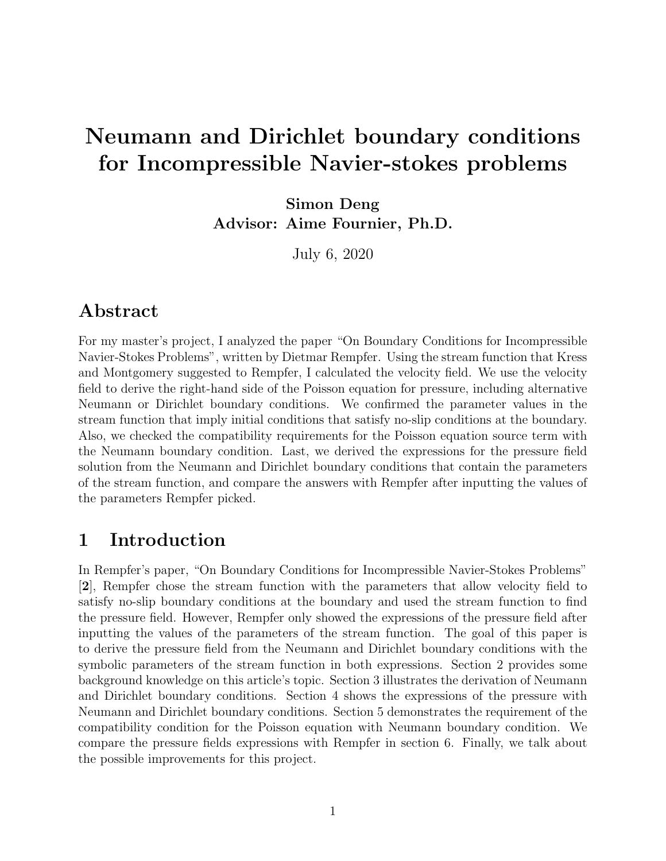# Neumann and Dirichlet boundary conditions for Incompressible Navier-stokes problems

Simon Deng Advisor: Aime Fournier, Ph.D.

July 6, 2020

### Abstract

For my master's project, I analyzed the paper "On Boundary Conditions for Incompressible Navier-Stokes Problems", written by Dietmar Rempfer. Using the stream function that Kress and Montgomery suggested to Rempfer, I calculated the velocity field. We use the velocity field to derive the right-hand side of the Poisson equation for pressure, including alternative Neumann or Dirichlet boundary conditions. We confirmed the parameter values in the stream function that imply initial conditions that satisfy no-slip conditions at the boundary. Also, we checked the compatibility requirements for the Poisson equation source term with the Neumann boundary condition. Last, we derived the expressions for the pressure field solution from the Neumann and Dirichlet boundary conditions that contain the parameters of the stream function, and compare the answers with Rempfer after inputting the values of the parameters Rempfer picked.

### 1 Introduction

In Rempfer's paper, "On Boundary Conditions for Incompressible Navier-Stokes Problems" [2], Rempfer chose the stream function with the parameters that allow velocity field to satisfy no-slip boundary conditions at the boundary and used the stream function to find the pressure field. However, Rempfer only showed the expressions of the pressure field after inputting the values of the parameters of the stream function. The goal of this paper is to derive the pressure field from the Neumann and Dirichlet boundary conditions with the symbolic parameters of the stream function in both expressions. Section 2 provides some background knowledge on this article's topic. Section 3 illustrates the derivation of Neumann and Dirichlet boundary conditions. Section 4 shows the expressions of the pressure with Neumann and Dirichlet boundary conditions. Section 5 demonstrates the requirement of the compatibility condition for the Poisson equation with Neumann boundary condition. We compare the pressure fields expressions with Rempfer in section 6. Finally, we talk about the possible improvements for this project.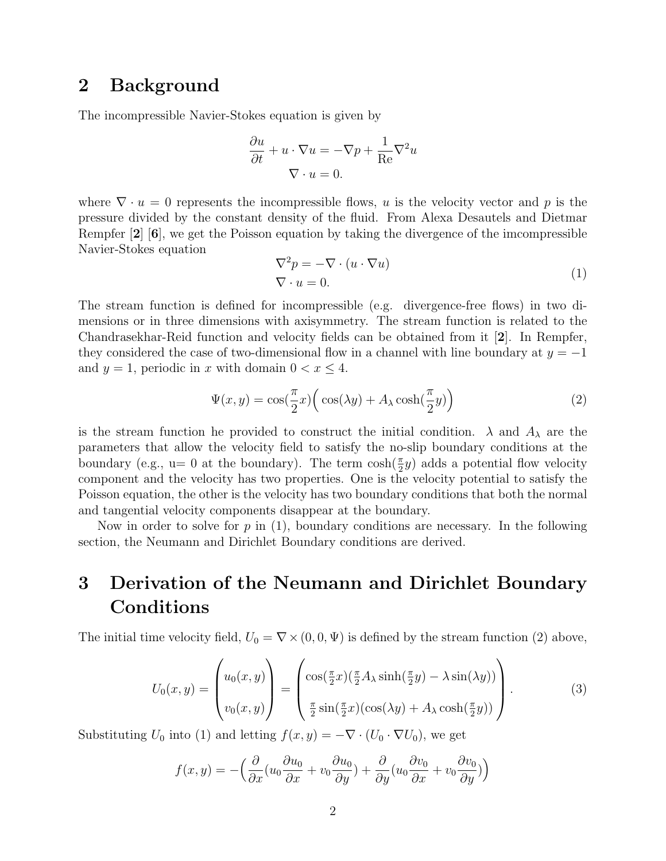#### 2 Background

The incompressible Navier-Stokes equation is given by

$$
\frac{\partial u}{\partial t} + u \cdot \nabla u = -\nabla p + \frac{1}{\text{Re}} \nabla^2 u
$$

$$
\nabla \cdot u = 0.
$$

where  $\nabla \cdot u = 0$  represents the incompressible flows, u is the velocity vector and p is the pressure divided by the constant density of the fluid. From Alexa Desautels and Dietmar Rempfer [2] [6], we get the Poisson equation by taking the divergence of the imcompressible Navier-Stokes equation

$$
\nabla^2 p = -\nabla \cdot (u \cdot \nabla u)
$$
  
\n
$$
\nabla \cdot u = 0.
$$
 (1)

The stream function is defined for incompressible (e.g. divergence-free flows) in two dimensions or in three dimensions with axisymmetry. The stream function is related to the Chandrasekhar-Reid function and velocity fields can be obtained from it [2]. In Rempfer, they considered the case of two-dimensional flow in a channel with line boundary at  $y = -1$ and  $y = 1$ , periodic in x with domain  $0 < x \leq 4$ .

$$
\Psi(x,y) = \cos(\frac{\pi}{2}x) \left( \cos(\lambda y) + A_{\lambda} \cosh(\frac{\pi}{2}y) \right)
$$
 (2)

is the stream function he provided to construct the initial condition.  $\lambda$  and  $A_{\lambda}$  are the parameters that allow the velocity field to satisfy the no-slip boundary conditions at the boundary (e.g.,  $u=0$  at the boundary). The term  $\cosh(\frac{\pi}{2}y)$  adds a potential flow velocity component and the velocity has two properties. One is the velocity potential to satisfy the Poisson equation, the other is the velocity has two boundary conditions that both the normal and tangential velocity components disappear at the boundary.

Now in order to solve for  $p$  in (1), boundary conditions are necessary. In the following section, the Neumann and Dirichlet Boundary conditions are derived.

# 3 Derivation of the Neumann and Dirichlet Boundary Conditions

The initial time velocity field,  $U_0 = \nabla \times (0, 0, \Psi)$  is defined by the stream function (2) above,

$$
U_0(x,y) = \begin{pmatrix} u_0(x,y) \\ v_0(x,y) \end{pmatrix} = \begin{pmatrix} \cos(\frac{\pi}{2}x)(\frac{\pi}{2}A_\lambda\sinh(\frac{\pi}{2}y) - \lambda\sin(\lambda y)) \\ \frac{\pi}{2}\sin(\frac{\pi}{2}x)(\cos(\lambda y) + A_\lambda\cosh(\frac{\pi}{2}y)) \end{pmatrix}.
$$
 (3)

Substituting  $U_0$  into (1) and letting  $f(x, y) = -\nabla \cdot (U_0 \cdot \nabla U_0)$ , we get

$$
f(x,y) = -\left(\frac{\partial}{\partial x}(u_0 \frac{\partial u_0}{\partial x} + v_0 \frac{\partial u_0}{\partial y}) + \frac{\partial}{\partial y}(u_0 \frac{\partial v_0}{\partial x} + v_0 \frac{\partial v_0}{\partial y})\right)
$$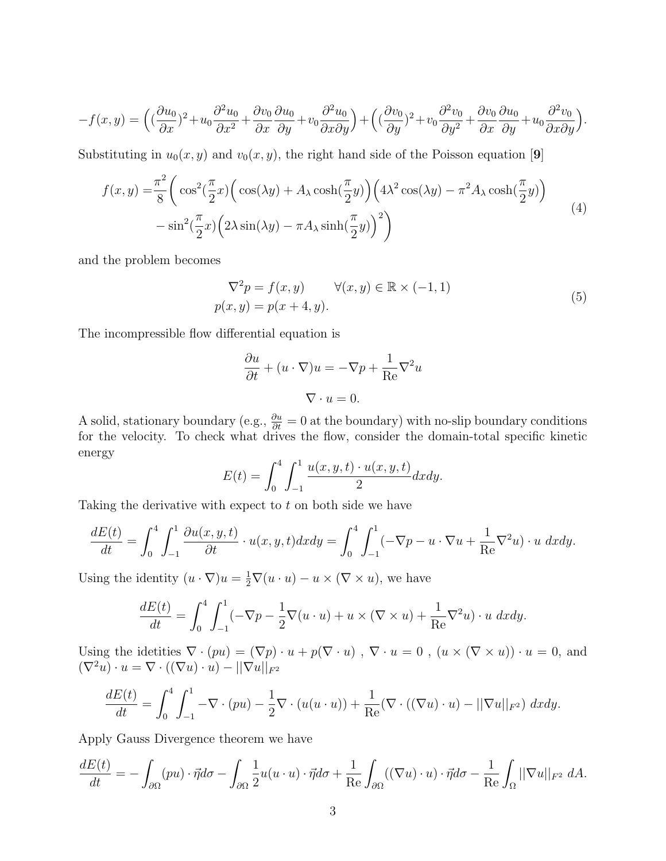$$
-f(x,y) = \left( \left(\frac{\partial u_0}{\partial x}\right)^2 + u_0 \frac{\partial^2 u_0}{\partial x^2} + \frac{\partial v_0}{\partial x} \frac{\partial u_0}{\partial y} + v_0 \frac{\partial^2 u_0}{\partial x \partial y} \right) + \left( \left(\frac{\partial v_0}{\partial y}\right)^2 + v_0 \frac{\partial^2 v_0}{\partial y^2} + \frac{\partial v_0}{\partial x} \frac{\partial u_0}{\partial y} + u_0 \frac{\partial^2 v_0}{\partial x \partial y} \right).
$$

Substituting in  $u_0(x, y)$  and  $v_0(x, y)$ , the right hand side of the Poisson equation [9]

$$
f(x,y) = \frac{\pi^2}{8} \left( \cos^2(\frac{\pi}{2}x) \left( \cos(\lambda y) + A_{\lambda} \cosh(\frac{\pi}{2}y) \right) \left( 4\lambda^2 \cos(\lambda y) - \pi^2 A_{\lambda} \cosh(\frac{\pi}{2}y) \right) - \sin^2(\frac{\pi}{2}x) \left( 2\lambda \sin(\lambda y) - \pi A_{\lambda} \sinh(\frac{\pi}{2}y) \right)^2 \right)
$$
(4)

and the problem becomes

$$
\nabla^2 p = f(x, y) \qquad \forall (x, y) \in \mathbb{R} \times (-1, 1)
$$
  

$$
p(x, y) = p(x + 4, y).
$$
 (5)

The incompressible flow differential equation is

$$
\frac{\partial u}{\partial t} + (u \cdot \nabla)u = -\nabla p + \frac{1}{\text{Re}} \nabla^2 u
$$

$$
\nabla \cdot u = 0.
$$

A solid, stationary boundary (e.g.,  $\frac{\partial u}{\partial t} = 0$  at the boundary) with no-slip boundary conditions for the velocity. To check what drives the flow, consider the domain-total specific kinetic energy

$$
E(t) = \int_0^4 \int_{-1}^1 \frac{u(x, y, t) \cdot u(x, y, t)}{2} dx dy.
$$

Taking the derivative with expect to  $t$  on both side we have

$$
\frac{dE(t)}{dt} = \int_0^4 \int_{-1}^1 \frac{\partial u(x, y, t)}{\partial t} \cdot u(x, y, t) dx dy = \int_0^4 \int_{-1}^1 (-\nabla p - u \cdot \nabla u + \frac{1}{\text{Re}} \nabla^2 u) \cdot u dx dy.
$$

Using the identity  $(u \cdot \nabla)u = \frac{1}{2}\nabla(u \cdot u) - u \times (\nabla \times u)$ , we have

$$
\frac{dE(t)}{dt} = \int_0^4 \int_{-1}^1 (-\nabla p - \frac{1}{2}\nabla(u \cdot u) + u \times (\nabla \times u) + \frac{1}{\text{Re}}\nabla^2 u) \cdot u \, dxdy.
$$

Using the idetities  $\nabla \cdot (pu) = (\nabla p) \cdot u + p(\nabla \cdot u)$ ,  $\nabla \cdot u = 0$ ,  $(u \times (\nabla \times u)) \cdot u = 0$ , and  $(\nabla^2 u) \cdot u = \nabla \cdot ((\nabla u) \cdot u) - ||\nabla u||_{F^2}$ 

$$
\frac{dE(t)}{dt} = \int_0^4 \int_{-1}^1 -\nabla \cdot (pu) - \frac{1}{2} \nabla \cdot (u(u \cdot u)) + \frac{1}{\text{Re}} (\nabla \cdot ((\nabla u) \cdot u) - ||\nabla u||_{F^2}) dx dy.
$$

Apply Gauss Divergence theorem we have

$$
\frac{dE(t)}{dt} = -\int_{\partial\Omega} (pu) \cdot \vec{\eta} d\sigma - \int_{\partial\Omega} \frac{1}{2} u(u \cdot u) \cdot \vec{\eta} d\sigma + \frac{1}{\text{Re}} \int_{\partial\Omega} ((\nabla u) \cdot u) \cdot \vec{\eta} d\sigma - \frac{1}{\text{Re}} \int_{\Omega} ||\nabla u||_{F^2} dA.
$$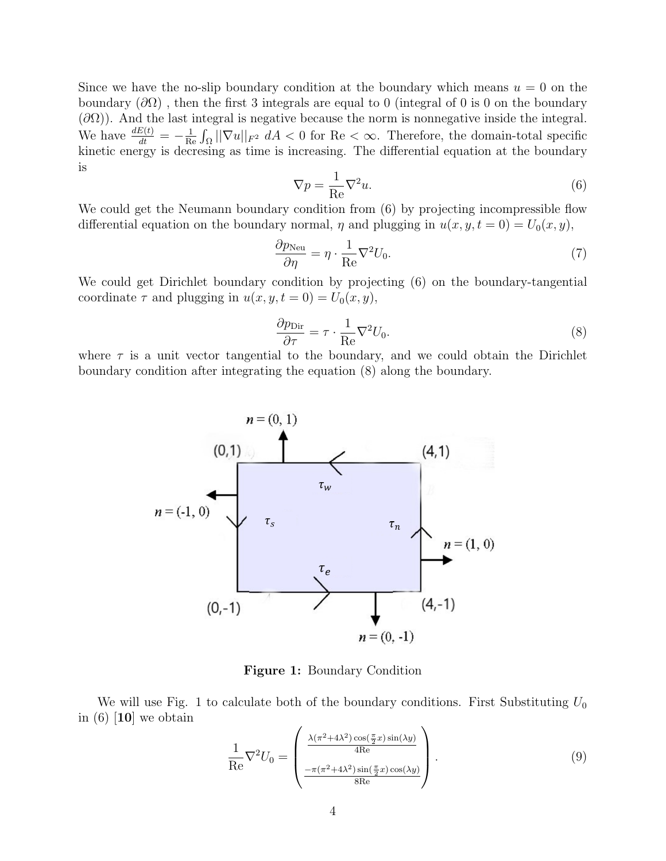Since we have the no-slip boundary condition at the boundary which means  $u = 0$  on the boundary  $(\partial\Omega)$ , then the first 3 integrals are equal to 0 (integral of 0 is 0 on the boundary  $(\partial\Omega)$ ). And the last integral is negative because the norm is nonnegative inside the integral. We have  $\frac{dE(t)}{dt} = -\frac{1}{R}$  $\frac{1}{\text{Re}} \int_{\Omega} ||\nabla u||_{F^2} dA < 0$  for  $\text{Re} < \infty$ . Therefore, the domain-total specific kinetic energy is decresing as time is increasing. The differential equation at the boundary is

$$
\nabla p = \frac{1}{\text{Re}} \nabla^2 u.
$$
\n(6)

We could get the Neumann boundary condition from  $(6)$  by projecting incompressible flow differential equation on the boundary normal,  $\eta$  and plugging in  $u(x, y, t = 0) = U_0(x, y)$ ,

$$
\frac{\partial p_{\text{Neu}}}{\partial \eta} = \eta \cdot \frac{1}{\text{Re}} \nabla^2 U_0. \tag{7}
$$

We could get Dirichlet boundary condition by projecting (6) on the boundary-tangential coordinate  $\tau$  and plugging in  $u(x, y, t = 0) = U_0(x, y)$ ,

$$
\frac{\partial p_{\text{Dir}}}{\partial \tau} = \tau \cdot \frac{1}{\text{Re}} \nabla^2 U_0.
$$
\n(8)

where  $\tau$  is a unit vector tangential to the boundary, and we could obtain the Dirichlet boundary condition after integrating the equation (8) along the boundary.



Figure 1: Boundary Condition

We will use Fig. 1 to calculate both of the boundary conditions. First Substituting  $U_0$ in  $(6)$  [10] we obtain

$$
\frac{1}{\text{Re}}\nabla^2 U_0 = \begin{pmatrix}\n\frac{\lambda(\pi^2 + 4\lambda^2)\cos(\frac{\pi}{2}x)\sin(\lambda y)}{4\text{Re}} \\
\frac{-\pi(\pi^2 + 4\lambda^2)\sin(\frac{\pi}{2}x)\cos(\lambda y)}{8\text{Re}}\n\end{pmatrix}.
$$
\n(9)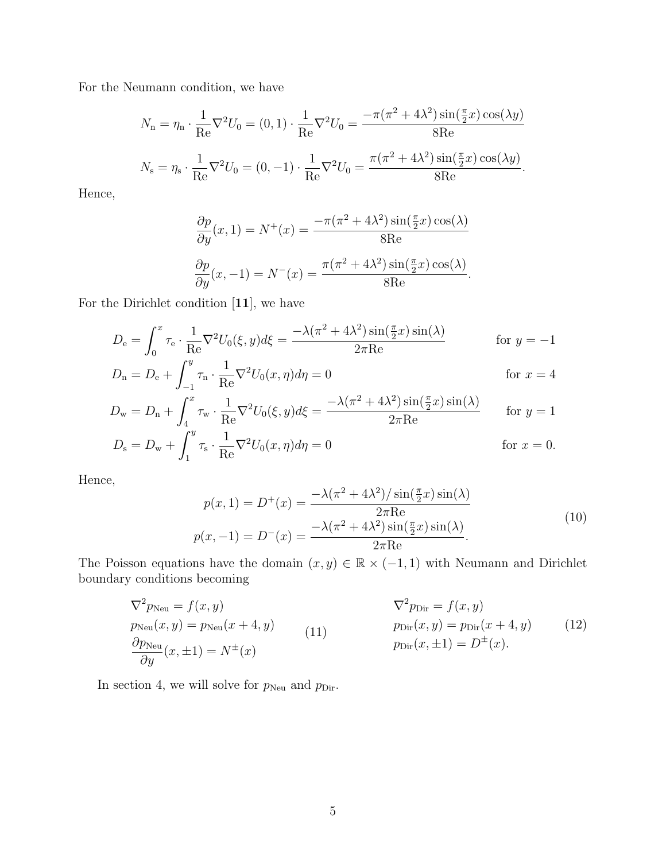For the Neumann condition, we have

$$
N_{\rm n} = \eta_{\rm n} \cdot \frac{1}{\rm Re} \nabla^2 U_0 = (0, 1) \cdot \frac{1}{\rm Re} \nabla^2 U_0 = \frac{-\pi (\pi^2 + 4\lambda^2) \sin(\frac{\pi}{2}x) \cos(\lambda y)}{8\rm Re}
$$
  

$$
N_{\rm s} = \eta_{\rm s} \cdot \frac{1}{\rm Re} \nabla^2 U_0 = (0, -1) \cdot \frac{1}{\rm Re} \nabla^2 U_0 = \frac{\pi (\pi^2 + 4\lambda^2) \sin(\frac{\pi}{2}x) \cos(\lambda y)}{8\rm Re}.
$$

Hence,

$$
\frac{\partial p}{\partial y}(x,1) = N^+(x) = \frac{-\pi(\pi^2 + 4\lambda^2)\sin(\frac{\pi}{2}x)\cos(\lambda)}{8\text{Re}}
$$

$$
\frac{\partial p}{\partial y}(x,-1) = N^-(x) = \frac{\pi(\pi^2 + 4\lambda^2)\sin(\frac{\pi}{2}x)\cos(\lambda)}{8\text{Re}}.
$$

For the Dirichlet condition [11], we have

$$
D_{\rm e} = \int_0^x \tau_{\rm e} \cdot \frac{1}{\rm Re} \nabla^2 U_0(\xi, y) d\xi = \frac{-\lambda(\pi^2 + 4\lambda^2) \sin(\frac{\pi}{2}x) \sin(\lambda)}{2\pi \rm Re}
$$
 for  $y = -1$   
\n
$$
D_{\rm n} = D_{\rm e} + \int_{-1}^y \tau_{\rm n} \cdot \frac{1}{\rm Re} \nabla^2 U_0(x, \eta) d\eta = 0
$$
 for  $x = 4$ 

$$
D_{\mathbf{w}} = D_{\mathbf{n}} + \int_{4}^{x} \tau_{\mathbf{w}} \cdot \frac{1}{\text{Re}} \nabla^2 U_0(\xi, y) d\xi = \frac{-\lambda(\pi^2 + 4\lambda^2) \sin(\frac{\pi}{2}x) \sin(\lambda)}{2\pi \text{Re}} \quad \text{for } y = 1
$$
  

$$
D_{\mathbf{s}} = D_{\mathbf{w}} + \int_{1}^{y} \tau_{\mathbf{s}} \cdot \frac{1}{\text{Re}} \nabla^2 U_0(x, \eta) d\eta = 0 \quad \text{for } x = 0.
$$

Hence,

$$
p(x,1) = D^{+}(x) = \frac{-\lambda(\pi^2 + 4\lambda^2)/\sin(\frac{\pi}{2}x)\sin(\lambda)}{2\pi\text{Re}}
$$
  

$$
p(x,-1) = D^{-}(x) = \frac{-\lambda(\pi^2 + 4\lambda^2)\sin(\frac{\pi}{2}x)\sin(\lambda)}{2\pi\text{Re}}.
$$
 (10)

The Poisson equations have the domain  $(x, y) \in \mathbb{R} \times (-1, 1)$  with Neumann and Dirichlet boundary conditions becoming

$$
\nabla^2 p_{\text{Neu}} = f(x, y) \qquad \nabla^2 p_{\text{Dir}} = f(x, y) \n p_{\text{Neu}}(x, y) = p_{\text{Neu}}(x + 4, y) \qquad (11) \qquad \nabla^2 p_{\text{Dir}} = f(x, y) \n p_{\text{Dir}}(x, y) = p_{\text{Dir}}(x + 4, y) \qquad (12) \n p_{\text{Dir}}(x, \pm 1) = D^{\pm}(x).
$$
\n(13)

In section 4, we will solve for  $p_\mathrm{Neu}$  and  $p_\mathrm{Dir}.$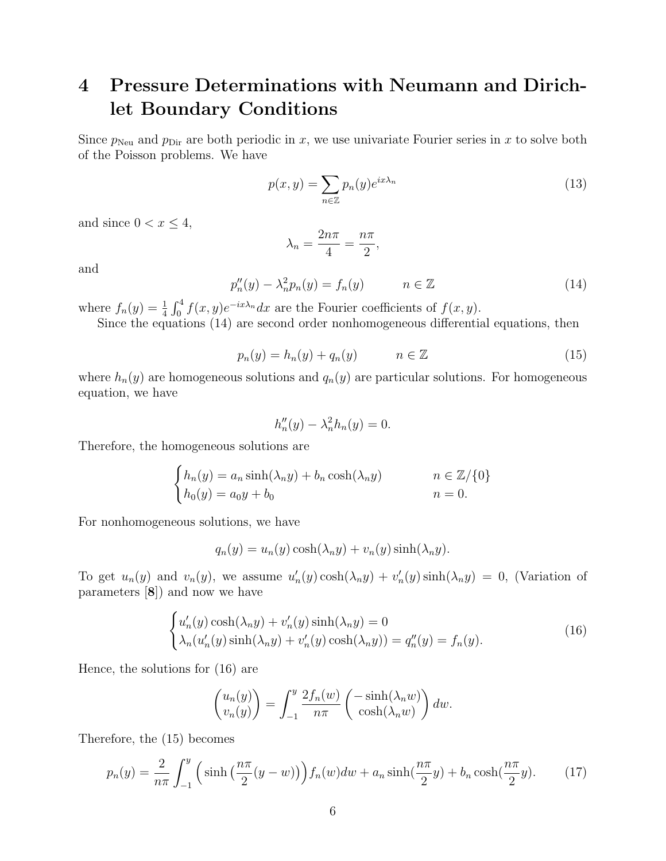# 4 Pressure Determinations with Neumann and Dirichlet Boundary Conditions

Since  $p_{\text{Neu}}$  and  $p_{\text{Dir}}$  are both periodic in x, we use univariate Fourier series in x to solve both of the Poisson problems. We have

$$
p(x,y) = \sum_{n \in \mathbb{Z}} p_n(y) e^{ix\lambda_n}
$$
\n(13)

and since  $0 < x \leq 4$ ,

$$
\lambda_n = \frac{2n\pi}{4} = \frac{n\pi}{2},
$$

and

$$
p_n''(y) - \lambda_n^2 p_n(y) = f_n(y) \qquad n \in \mathbb{Z}
$$
 (14)

where  $f_n(y) = \frac{1}{4} \int_0^4 f(x, y) e^{-ix\lambda_n} dx$  are the Fourier coefficients of  $f(x, y)$ .

Since the equations (14) are second order nonhomogeneous differential equations, then

$$
p_n(y) = h_n(y) + q_n(y) \qquad n \in \mathbb{Z} \tag{15}
$$

where  $h_n(y)$  are homogeneous solutions and  $q_n(y)$  are particular solutions. For homogeneous equation, we have

$$
h_n''(y) - \lambda_n^2 h_n(y) = 0.
$$

Therefore, the homogeneous solutions are

$$
\begin{cases}\nh_n(y) = a_n \sinh(\lambda_n y) + b_n \cosh(\lambda_n y) & n \in \mathbb{Z}/\{0\} \\
h_0(y) = a_0 y + b_0 & n = 0.\n\end{cases}
$$

For nonhomogeneous solutions, we have

$$
q_n(y) = u_n(y)\cosh(\lambda_n y) + v_n(y)\sinh(\lambda_n y).
$$

To get  $u_n(y)$  and  $v_n(y)$ , we assume  $u'_n(y) \cosh(\lambda_n y) + v'_n(y) \sinh(\lambda_n y) = 0$ , (Variation of parameters [8]) and now we have

$$
\begin{cases}\nu_n'(y)\cosh(\lambda_n y) + v_n'(y)\sinh(\lambda_n y) = 0\\ \lambda_n(u_n'(y)\sinh(\lambda_n y) + v_n'(y)\cosh(\lambda_n y)) = q_n''(y) = f_n(y).\n\end{cases}
$$
\n(16)

Hence, the solutions for (16) are

$$
\begin{pmatrix} u_n(y) \\ v_n(y) \end{pmatrix} = \int_{-1}^y \frac{2f_n(w)}{n\pi} \begin{pmatrix} -\sinh(\lambda_n w) \\ \cosh(\lambda_n w) \end{pmatrix} dw.
$$

Therefore, the (15) becomes

$$
p_n(y) = \frac{2}{n\pi} \int_{-1}^{y} \left( \sinh\left(\frac{n\pi}{2}(y-w)\right) \right) f_n(w) dw + a_n \sinh\left(\frac{n\pi}{2}y\right) + b_n \cosh\left(\frac{n\pi}{2}y\right). \tag{17}
$$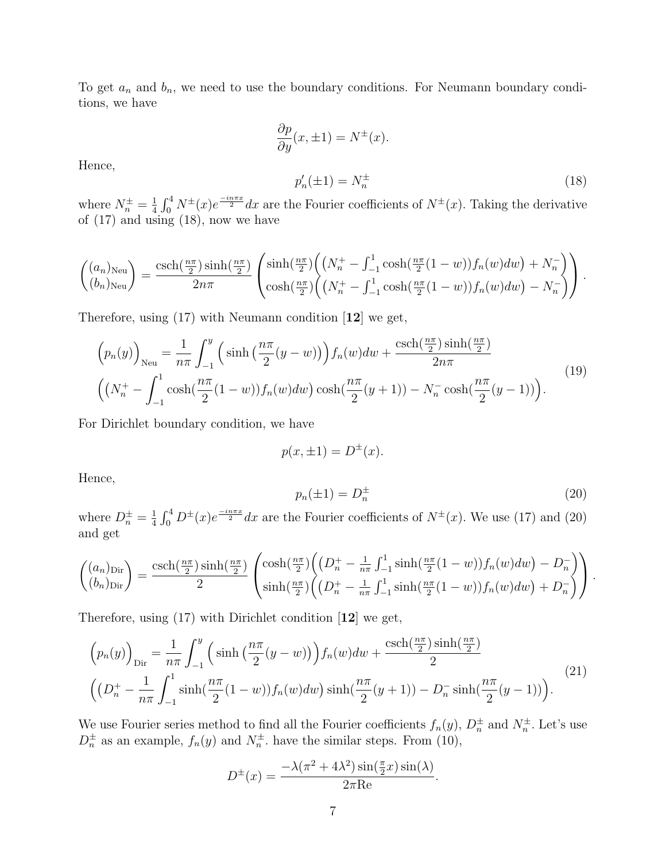To get  $a_n$  and  $b_n$ , we need to use the boundary conditions. For Neumann boundary conditions, we have

$$
\frac{\partial p}{\partial y}(x, \pm 1) = N^{\pm}(x).
$$
  

$$
p'_n(\pm 1) = N^{\pm}_n
$$
 (18)

Hence,

where  $N_n^{\pm} = \frac{1}{4}$  $\frac{1}{4} \int_0^4 N^{\pm}(x) e^{\frac{-in\pi x}{2}} dx$  are the Fourier coefficients of  $N^{\pm}(x)$ . Taking the derivative of  $(17)$  and using  $(18)$ , now we have

$$
\begin{pmatrix}\n(a_n)_{\text{Neu}} \\
(b_n)_{\text{Neu}}\n\end{pmatrix} = \frac{\operatorname{csch}(\frac{n\pi}{2}) \sinh(\frac{n\pi}{2})}{2n\pi} \begin{pmatrix}\n\sinh(\frac{n\pi}{2}) \left( \left( N_n^+ - \int_{-1}^1 \cosh(\frac{n\pi}{2}(1-w)) f_n(w) dw \right) + N_n^- \\
\cosh(\frac{n\pi}{2}) \left( \left( N_n^+ - \int_{-1}^1 \cosh(\frac{n\pi}{2}(1-w)) f_n(w) dw \right) - N_n^- \right)\n\end{pmatrix}.
$$

Therefore, using (17) with Neumann condition [12] we get,

$$
\left(p_n(y)\right)_{\text{Neu}} = \frac{1}{n\pi} \int_{-1}^{y} \left(\sinh\left(\frac{n\pi}{2}(y-w)\right)\right) f_n(w) dw + \frac{\text{csch}\left(\frac{n\pi}{2}\right)\sinh\left(\frac{n\pi}{2}\right)}{2n\pi} \left(\left(N_n^+ - \int_{-1}^1 \cosh\left(\frac{n\pi}{2}(1-w)\right) f_n(w) dw\right) \cosh\left(\frac{n\pi}{2}(y+1)\right) - N_n^- \cosh\left(\frac{n\pi}{2}(y-1)\right)\right).
$$
\n(19)

For Dirichlet boundary condition, we have

$$
p(x, \pm 1) = D^{\pm}(x).
$$

Hence,

$$
p_n(\pm 1) = D_n^{\pm}
$$
\n<sup>(20)</sup>

where  $D_n^{\pm} = \frac{1}{4}$  $\frac{1}{4} \int_0^4 D^{\pm}(x) e^{\frac{-in\pi x}{2}} dx$  are the Fourier coefficients of  $N^{\pm}(x)$ . We use (17) and (20) and get

$$
\begin{pmatrix}\n(a_n)_{\text{Dir}} \\
(b_n)_{\text{Dir}}\n\end{pmatrix} = \frac{\text{csch}(\frac{n\pi}{2})\sinh(\frac{n\pi}{2})}{2} \begin{pmatrix}\n\cosh(\frac{n\pi}{2})\left((D_n^+ - \frac{1}{n\pi}\int_{-1}^1 \sinh(\frac{n\pi}{2}(1-w))f_n(w)dw\right) - D_n^-\right)}{\sinh(\frac{n\pi}{2})\left((D_n^+ - \frac{1}{n\pi}\int_{-1}^1 \sinh(\frac{n\pi}{2}(1-w))f_n(w)dw\right) + D_n^-\right)}.
$$

Therefore, using (17) with Dirichlet condition [12] we get,

$$
\left(p_n(y)\right)_{\text{Dir}} = \frac{1}{n\pi} \int_{-1}^{y} \left(\sinh\left(\frac{n\pi}{2}(y-w)\right)\right) f_n(w) dw + \frac{\text{csch}\left(\frac{n\pi}{2}\right)\sinh\left(\frac{n\pi}{2}\right)}{2} \left(\left(D_n^+ - \frac{1}{n\pi} \int_{-1}^{1} \sinh\left(\frac{n\pi}{2}(1-w)\right) f_n(w) dw\right) \sinh\left(\frac{n\pi}{2}(y+1)\right) - D_n^-\sinh\left(\frac{n\pi}{2}(y-1)\right)\right).
$$
\n(21)

We use Fourier series method to find all the Fourier coefficients  $f_n(y)$ ,  $D_n^{\pm}$  and  $N_n^{\pm}$ . Let's use  $D_n^{\pm}$  as an example,  $f_n(y)$  and  $N_n^{\pm}$ . have the similar steps. From (10),

$$
D^{\pm}(x) = \frac{-\lambda(\pi^2 + 4\lambda^2)\sin(\frac{\pi}{2}x)\sin(\lambda)}{2\pi\text{Re}}.
$$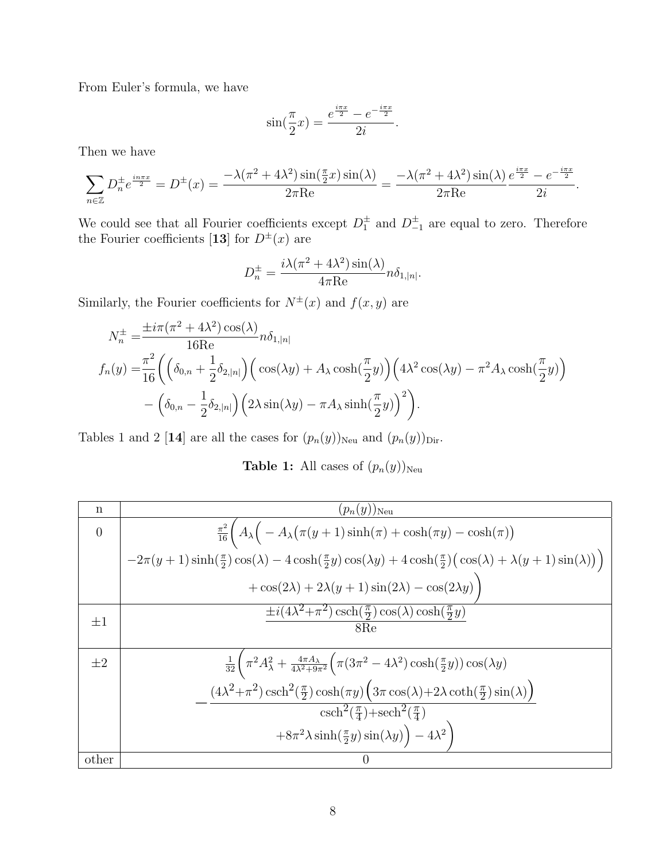From Euler's formula, we have

$$
\sin(\frac{\pi}{2}x) = \frac{e^{\frac{i\pi x}{2}} - e^{-\frac{i\pi x}{2}}}{2i}.
$$

Then we have

$$
\sum_{n\in\mathbb{Z}}D_n^{\pm}e^{\frac{i n\pi x}{2}} = D^{\pm}(x) = \frac{-\lambda(\pi^2 + 4\lambda^2)\sin(\frac{\pi}{2}x)\sin(\lambda)}{2\pi\mathrm{Re}} = \frac{-\lambda(\pi^2 + 4\lambda^2)\sin(\lambda)}{2\pi\mathrm{Re}}\frac{e^{\frac{i \pi x}{2}} - e^{-\frac{i \pi x}{2}}}{2i}.
$$

We could see that all Fourier coefficients except  $D_1^{\pm}$  and  $D_{-1}^{\pm}$  are equal to zero. Therefore the Fourier coefficients [13] for  $D^{\pm}(x)$  are

$$
D_n^{\pm} = \frac{i\lambda(\pi^2 + 4\lambda^2)\sin(\lambda)}{4\pi\text{Re}}n\delta_{1,|n|}.
$$

Similarly, the Fourier coefficients for  $N^{\pm}(x)$  and  $f(x, y)$  are

$$
N_n^{\pm} = \frac{\pm i\pi (\pi^2 + 4\lambda^2) \cos(\lambda)}{16\text{Re}} n \delta_{1,|n|}
$$
  

$$
f_n(y) = \frac{\pi^2}{16} \left( \left( \delta_{0,n} + \frac{1}{2} \delta_{2,|n|} \right) \left( \cos(\lambda y) + A_\lambda \cosh(\frac{\pi}{2}y) \right) \left( 4\lambda^2 \cos(\lambda y) - \pi^2 A_\lambda \cosh(\frac{\pi}{2}y) \right) - \left( \delta_{0,n} - \frac{1}{2} \delta_{2,|n|} \right) \left( 2\lambda \sin(\lambda y) - \pi A_\lambda \sinh(\frac{\pi}{2}y) \right)^2 \right).
$$

Tables 1 and 2 [14] are all the cases for  $(p_n(y))_{\text{Neu}}$  and  $(p_n(y))_{\text{Dir}}$ .

**Table 1:** All cases of  $(p_n(y))_{\text{Neu}}$ 

| n        | $(p_n(y))_{\mathrm{Neu}}$                                                                                                                                                                            |
|----------|------------------------------------------------------------------------------------------------------------------------------------------------------------------------------------------------------|
| $\theta$ | $\frac{\pi^2}{16} \Big( A_{\lambda} \Big( -A_{\lambda} (\pi(y+1) \sinh(\pi) + \cosh(\pi y) - \cosh(\pi) \Big)$                                                                                       |
|          | $-2\pi(y+1)\sinh(\frac{\pi}{2})\cos(\lambda)-4\cosh(\frac{\pi}{2}y)\cos(\lambda y)+4\cosh(\frac{\pi}{2})\big(\cos(\lambda)+\lambda(y+1)\sin(\lambda)\big)\big)$                                      |
|          | $+\cos(2\lambda) + 2\lambda(y+1)\sin(2\lambda) - \cos(2\lambda y)$                                                                                                                                   |
| $\pm 1$  | $\pm i(4\lambda^2+\pi^2)\cosh(\frac{\pi}{2})\cos(\lambda)\cosh(\frac{\pi}{2}y)$<br>8Re                                                                                                               |
| $\pm 2$  | $\frac{1}{32}\left(\pi^2 A_\lambda^2 + \frac{4\pi A_\lambda}{4\lambda^2 + 9\pi^2}\left(\pi (3\pi^2 - 4\lambda^2)\cosh(\frac{\pi}{2}y)\right)\cos(\lambda y) \right)$                                 |
|          | $(4\lambda^2+\pi^2)\,\text{csch}^2(\frac{\pi}{2})\cosh(\pi y)\Big(3\pi\cos(\lambda)+2\lambda\coth(\frac{\pi}{2})\sin(\lambda)\Big)$<br>$\cosh^2(\frac{\pi}{4})+\operatorname{sech}^2(\frac{\pi}{4})$ |
|          |                                                                                                                                                                                                      |
|          | $+8\pi^2\lambda\sinh(\frac{\pi}{2}y)\sin(\lambda y)\Big) - 4\lambda^2$                                                                                                                               |
| other    | $\left( \right)$                                                                                                                                                                                     |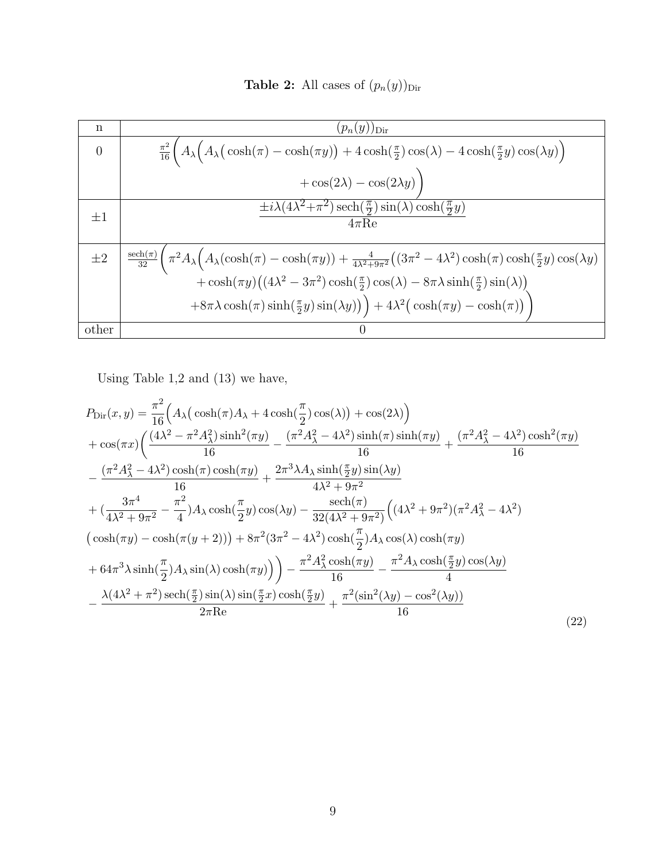**Table 2:** All cases of  $(p_n(y))_{\text{Dir}}$ 

| n              | $(p_n(y))_{\text{Dir}}$                                                                                                                                                                                                          |
|----------------|----------------------------------------------------------------------------------------------------------------------------------------------------------------------------------------------------------------------------------|
| $\overline{0}$ | $\frac{\pi^2}{16}\Big(A_\lambda\Big(A_\lambda\big(\cosh(\pi)-\cosh(\pi y)\big)+4\cosh(\frac{\pi}{2})\cos(\lambda)-4\cosh(\frac{\pi}{2}y)\cos(\lambda y)\Big)$                                                                    |
|                | $+\cos(2\lambda)-\cos(2\lambda y)$                                                                                                                                                                                               |
| $\pm 1$        | $\pm i\lambda(4\lambda^2+\pi^2)\operatorname{sech}(\frac{\pi}{2})\sin(\lambda)\cosh(\frac{\pi}{2}y)$                                                                                                                             |
|                | $4\pi$ Re                                                                                                                                                                                                                        |
|                |                                                                                                                                                                                                                                  |
| $\pm 2$        | $\frac{\text{sech}(\pi)}{32} \left( \pi^2 A_\lambda \left( A_\lambda (\cosh(\pi) - \cosh(\pi y)) + \frac{4}{4\lambda^2 + 9\pi^2} \left( (3\pi^2 - 4\lambda^2) \cosh(\pi) \cosh(\frac{\pi}{2} y) \cos(\lambda y) \right) \right)$ |
|                | + cosh $(\pi y)((4\lambda^2 - 3\pi^2)\cosh(\frac{\pi}{2})\cos(\lambda) - 8\pi\lambda\sinh(\frac{\pi}{2})\sin(\lambda))$                                                                                                          |
|                | $+8\pi\lambda\cosh(\pi)\sinh(\frac{\pi}{2}y)\sin(\lambda y)\big) + 4\lambda^2(\cosh(\pi y) - \cosh(\pi))\big)$                                                                                                                   |
| other          | $\left( \right)$                                                                                                                                                                                                                 |

Using Table 1,2 and (13) we have,

$$
P_{\text{Dir}}(x,y) = \frac{\pi^2}{16} \Big( A_{\lambda} \big( \cosh(\pi) A_{\lambda} + 4 \cosh(\frac{\pi}{2}) \cos(\lambda) \big) + \cos(2\lambda) \Big) + \cos(\pi x) \Big( \frac{(4\lambda^2 - \pi^2 A_{\lambda}^2) \sinh^2(\pi y)}{16} - \frac{(\pi^2 A_{\lambda}^2 - 4\lambda^2) \sinh(\pi) \sinh(\pi y)}{16} + \frac{(\pi^2 A_{\lambda}^2 - 4\lambda^2) \cosh^2(\pi y)}{16} - \frac{(\pi^2 A_{\lambda}^2 - 4\lambda^2) \cosh(\pi) \cosh(\pi y)}{16} + \frac{2\pi^3 \lambda A_{\lambda} \sinh(\frac{\pi}{2} y) \sin(\lambda y)}{4\lambda^2 + 9\pi^2} + \big( \frac{3\pi^4}{4\lambda^2 + 9\pi^2} - \frac{\pi^2}{4} \big) A_{\lambda} \cosh(\frac{\pi}{2} y) \cos(\lambda y) - \frac{\text{sech}(\pi)}{32(4\lambda^2 + 9\pi^2)} \Big( (4\lambda^2 + 9\pi^2)(\pi^2 A_{\lambda}^2 - 4\lambda^2) \big( \cosh(\pi y) - \cosh(\pi (y + 2)) \Big) + 8\pi^2 (3\pi^2 - 4\lambda^2) \cosh(\frac{\pi}{2}) A_{\lambda} \cos(\lambda) \cosh(\pi y) + 64\pi^3 \lambda \sinh(\frac{\pi}{2}) A_{\lambda} \sin(\lambda) \cosh(\pi y) \Big) \Big) - \frac{\pi^2 A_{\lambda}^2 \cosh(\pi y)}{16} - \frac{\pi^2 A_{\lambda} \cosh(\frac{\pi}{2} y) \cos(\lambda y)}{4} - \frac{\lambda (4\lambda^2 + \pi^2) \operatorname{sech}(\frac{\pi}{2}) \sin(\lambda) \sin(\frac{\pi}{2} x) \cosh(\frac{\pi}{2} y)}{2\pi \text{Re}} + \frac{\pi^2 (\sin^2(\lambda y) - \cos^2(\lambda y))}{16} \tag{22}
$$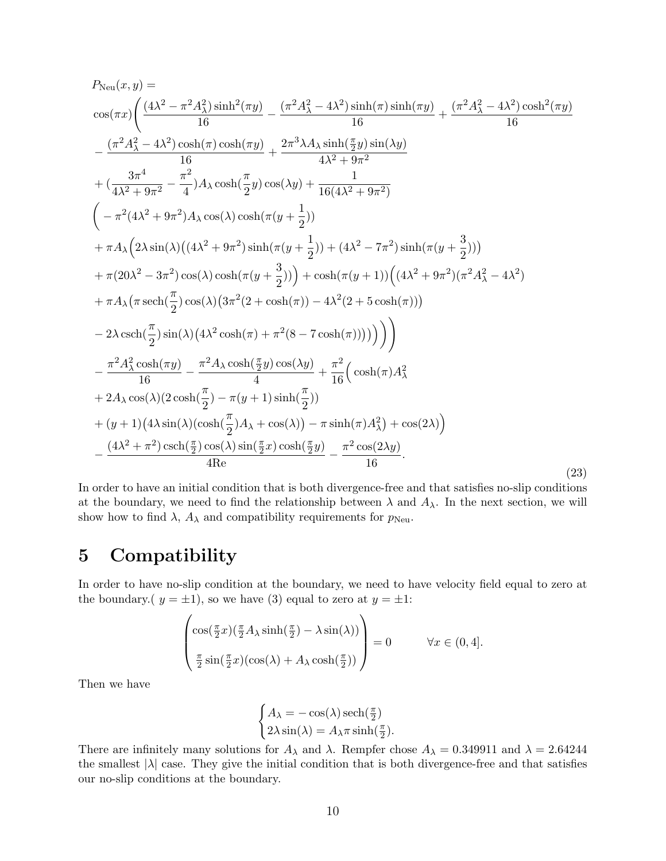$$
P_{\text{Neu}}(x, y) =\n\cos(\pi x) \left( \frac{(4\lambda^2 - \pi^2 A_{\lambda}^2) \sinh^2(\pi y)}{16} - \frac{(\pi^2 A_{\lambda}^2 - 4\lambda^2) \sinh(\pi) \sinh(\pi y)}{16} + \frac{(\pi^2 A_{\lambda}^2 - 4\lambda^2) \cosh^2(\pi y)}{16} \right) \n- \frac{(\pi^2 A_{\lambda}^2 - 4\lambda^2) \cosh(\pi) \cosh(\pi y)}{16} + \frac{2\pi^3 \lambda A_{\lambda} \sinh(\frac{\pi}{2}y) \sin(\lambda y)}{4\lambda^2 + 9\pi^2} \n+ (\frac{3\pi^4}{4\lambda^2 + 9\pi^2} - \frac{\pi^2}{4}) A_{\lambda} \cosh(\frac{\pi}{2}y) \cos(\lambda y) + \frac{1}{16(4\lambda^2 + 9\pi^2)} \n- \pi^2 (4\lambda^2 + 9\pi^2) A_{\lambda} \cos(\lambda) \cosh(\pi (y + \frac{1}{2})) \n+ \pi A_{\lambda} (2\lambda \sin(\lambda)((4\lambda^2 + 9\pi^2) \sinh(\pi (y + \frac{1}{2})) + (4\lambda^2 - 7\pi^2) \sinh(\pi (y + \frac{3}{2}))) \n+ \pi (20\lambda^2 - 3\pi^2) \cos(\lambda) \cosh(\pi (y + \frac{3}{2})) + \cosh(\pi (y + 1)) ((4\lambda^2 + 9\pi^2)(\pi^2 A_{\lambda}^2 - 4\lambda^2) \n+ \pi A_{\lambda} (\pi \operatorname{sech}(\frac{\pi}{2}) \cos(\lambda) (3\pi^2 (2 + \cosh(\pi)) - 4\lambda^2 (2 + 5 \cosh(\pi))) \n- 2\lambda \operatorname{csch}(\frac{\pi}{2}) \sin(\lambda) (4\lambda^2 \cosh(\pi) + \pi^2 (8 - 7 \cosh(\pi)))) \right) \n- \frac{\pi^2 A_{\lambda}^2 \cosh(\pi y)}{16} - \frac{\pi^2 A_{\lambda} \cosh(\frac{\pi}{2}y) \cos(\lambda y)}{4} + \frac{\pi^2}{16} (\cosh(\pi) A_{\lambda}^2) \n+ (y + 1) (4\lambda \sin(\lambda)
$$

In order to have an initial condition that is both divergence-free and that satisfies no-slip conditions at the boundary, we need to find the relationship between  $\lambda$  and  $A_{\lambda}$ . In the next section, we will show how to find  $\lambda$ ,  $A_{\lambda}$  and compatibility requirements for  $p_{\text{Neu}}$ .

### 5 Compatibility

In order to have no-slip condition at the boundary, we need to have velocity field equal to zero at the boundary.(  $y = \pm 1$ ), so we have (3) equal to zero at  $y = \pm 1$ :

$$
\begin{pmatrix}\n\cos(\frac{\pi}{2}x)(\frac{\pi}{2}A_{\lambda}\sinh(\frac{\pi}{2}) - \lambda\sin(\lambda)) \\
\frac{\pi}{2}\sin(\frac{\pi}{2}x)(\cos(\lambda) + A_{\lambda}\cosh(\frac{\pi}{2}))\n\end{pmatrix} = 0 \quad \forall x \in (0, 4].
$$

Then we have

$$
\begin{cases} A_{\lambda} = -\cos(\lambda)\operatorname{sech}(\frac{\pi}{2}) \\ 2\lambda\sin(\lambda) = A_{\lambda}\pi\sinh(\frac{\pi}{2}). \end{cases}
$$

There are infinitely many solutions for  $A_{\lambda}$  and  $\lambda$ . Rempfer chose  $A_{\lambda} = 0.349911$  and  $\lambda = 2.64244$ the smallest  $|\lambda|$  case. They give the initial condition that is both divergence-free and that satisfies our no-slip conditions at the boundary.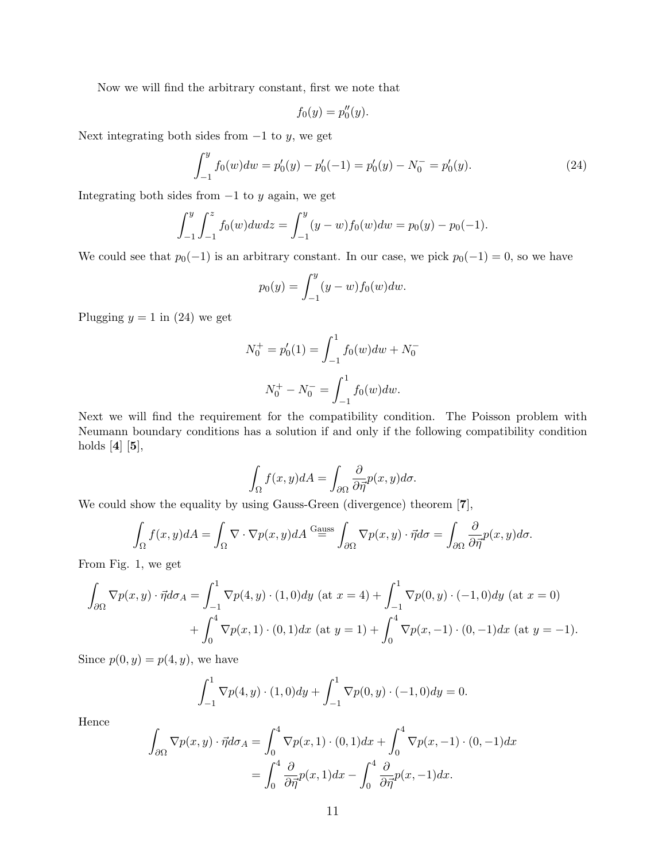Now we will find the arbitrary constant, first we note that

$$
f_0(y) = p_0''(y).
$$

Next integrating both sides from  $-1$  to y, we get

$$
\int_{-1}^{y} f_0(w) dw = p'_0(y) - p'_0(-1) = p'_0(y) - N_0^- = p'_0(y). \tag{24}
$$

Integrating both sides from  $-1$  to y again, we get

$$
\int_{-1}^{y} \int_{-1}^{z} f_0(w) dw dz = \int_{-1}^{y} (y - w) f_0(w) dw = p_0(y) - p_0(-1).
$$

We could see that  $p_0(-1)$  is an arbitrary constant. In our case, we pick  $p_0(-1) = 0$ , so we have

$$
p_0(y) = \int_{-1}^{y} (y - w) f_0(w) dw.
$$

Plugging  $y = 1$  in (24) we get

$$
N_0^+ = p'_0(1) = \int_{-1}^1 f_0(w)dw + N_0^-
$$
  

$$
N_0^+ - N_0^- = \int_{-1}^1 f_0(w)dw.
$$

Next we will find the requirement for the compatibility condition. The Poisson problem with Neumann boundary conditions has a solution if and only if the following compatibility condition holds  $[4]$   $[5]$ ,

$$
\int_{\Omega} f(x, y) dA = \int_{\partial \Omega} \frac{\partial}{\partial \overline{\eta}} p(x, y) d\sigma.
$$

We could show the equality by using Gauss-Green (divergence) theorem [7],

$$
\int_{\Omega} f(x, y) dA = \int_{\Omega} \nabla \cdot \nabla p(x, y) dA \stackrel{\text{Gauss}}{=} \int_{\partial \Omega} \nabla p(x, y) \cdot \vec{\eta} d\sigma = \int_{\partial \Omega} \frac{\partial}{\partial \vec{\eta}} p(x, y) d\sigma.
$$

From Fig. 1, we get

$$
\int_{\partial\Omega} \nabla p(x, y) \cdot \vec{\eta} d\sigma_A = \int_{-1}^1 \nabla p(4, y) \cdot (1, 0) dy \text{ (at } x = 4) + \int_{-1}^1 \nabla p(0, y) \cdot (-1, 0) dy \text{ (at } x = 0)
$$

$$
+ \int_0^4 \nabla p(x, 1) \cdot (0, 1) dx \text{ (at } y = 1) + \int_0^4 \nabla p(x, -1) \cdot (0, -1) dx \text{ (at } y = -1).
$$

Since  $p(0, y) = p(4, y)$ , we have

$$
\int_{-1}^{1} \nabla p(4, y) \cdot (1, 0) dy + \int_{-1}^{1} \nabla p(0, y) \cdot (-1, 0) dy = 0.
$$

Hence

$$
\int_{\partial\Omega} \nabla p(x, y) \cdot \vec{\eta} d\sigma_A = \int_0^4 \nabla p(x, 1) \cdot (0, 1) dx + \int_0^4 \nabla p(x, -1) \cdot (0, -1) dx
$$

$$
= \int_0^4 \frac{\partial}{\partial \vec{\eta}} p(x, 1) dx - \int_0^4 \frac{\partial}{\partial \vec{\eta}} p(x, -1) dx.
$$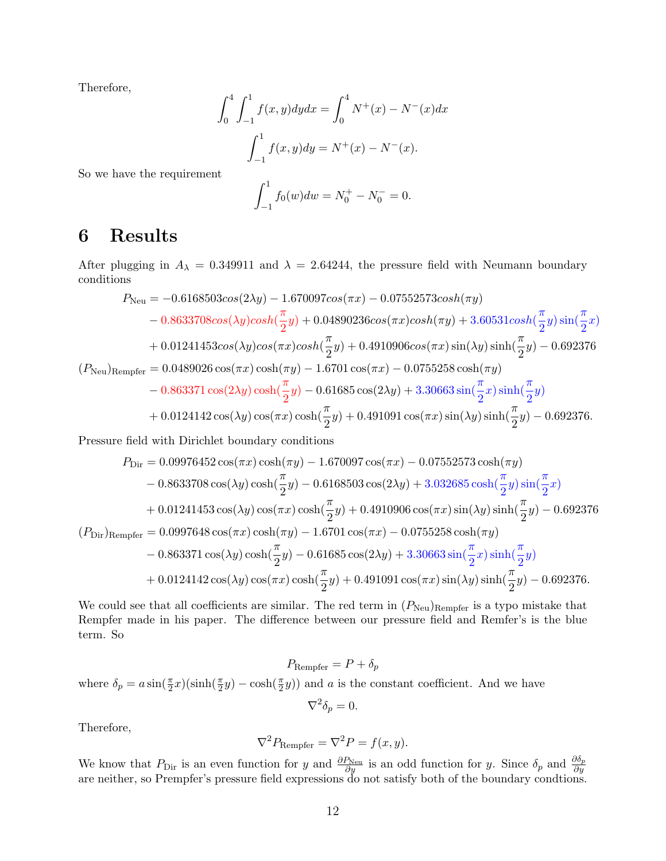Therefore,

$$
\int_0^4 \int_{-1}^1 f(x, y) dy dx = \int_0^4 N^+(x) - N^-(x) dx
$$

$$
\int_{-1}^1 f(x, y) dy = N^+(x) - N^-(x).
$$
at

So we have the requirement

$$
\int_{-1}^{1} f_0(w) dw = N_0^+ - N_0^- = 0.
$$

## 6 Results

After plugging in  $A_{\lambda} = 0.349911$  and  $\lambda = 2.64244$ , the pressure field with Neumann boundary conditions

$$
P_{\text{Neu}} = -0.6168503\cos(2\lambda y) - 1.670097\cos(\pi x) - 0.07552573\cosh(\pi y)
$$
  
- 0.8633708\cos(\lambda y)\cosh(\frac{\pi}{2}y) + 0.04890236\cos(\pi x)\cosh(\pi y) + 3.60531\cosh(\frac{\pi}{2}y)\sin(\frac{\pi}{2}x)  
+ 0.01241453\cos(\lambda y)\cos(\pi x)\cosh(\frac{\pi}{2}y) + 0.4910906\cos(\pi x)\sin(\lambda y)\sinh(\frac{\pi}{2}y) - 0.692376  
(P\_{\text{Neu}})\_{\text{Rempfer}} = 0.0489026\cos(\pi x)\cosh(\pi y) - 1.6701\cos(\pi x) - 0.0755258\cosh(\pi y)  
- 0.863371\cos(2\lambda y)\cosh(\frac{\pi}{2}y) - 0.61685\cos(2\lambda y) + 3.30663\sin(\frac{\pi}{2}x)\sinh(\frac{\pi}{2}y)  
+ 0.0124142\cos(\lambda y)\cos(\pi x)\cosh(\frac{\pi}{2}y) + 0.491091\cos(\pi x)\sin(\lambda y)\sinh(\frac{\pi}{2}y) - 0.692376.

Pressure field with Dirichlet boundary conditions

$$
P_{\text{Dir}} = 0.09976452 \cos(\pi x) \cosh(\pi y) - 1.670097 \cos(\pi x) - 0.07552573 \cosh(\pi y) - 0.8633708 \cos(\lambda y) \cosh(\frac{\pi}{2}y) - 0.6168503 \cos(2\lambda y) + 3.032685 \cosh(\frac{\pi}{2}y) \sin(\frac{\pi}{2}x) + 0.01241453 \cos(\lambda y) \cos(\pi x) \cosh(\frac{\pi}{2}y) + 0.4910906 \cos(\pi x) \sin(\lambda y) \sinh(\frac{\pi}{2}y) - 0.692376 (P_{\text{Dir}})_{\text{Rempfer}} = 0.0997648 \cos(\pi x) \cosh(\pi y) - 1.6701 \cos(\pi x) - 0.0755258 \cosh(\pi y) - 0.863371 \cos(\lambda y) \cosh(\frac{\pi}{2}y) - 0.61685 \cos(2\lambda y) + 3.30663 \sin(\frac{\pi}{2}x) \sinh(\frac{\pi}{2}y) + 0.0124142 \cos(\lambda y) \cos(\pi x) \cosh(\frac{\pi}{2}y) + 0.491091 \cos(\pi x) \sin(\lambda y) \sinh(\frac{\pi}{2}y) - 0.692376.
$$

We could see that all coefficients are similar. The red term in  $(P_{\text{Neu}})_{\text{Rempfer}}$  is a typo mistake that Rempfer made in his paper. The difference between our pressure field and Remfer's is the blue term. So

$$
P_{\text{Rempfer}} = P + \delta_p
$$
  
where  $\delta_p = a \sin(\frac{\pi}{2}x)(\sinh(\frac{\pi}{2}y) - \cosh(\frac{\pi}{2}y))$  and a is the constant coefficient. And we have  

$$
\nabla^2 \delta_p = 0.
$$

Therefore,

$$
\nabla^2 P_{\text{Rempfer}} = \nabla^2 P = f(x, y).
$$

We know that  $P_{\text{Dir}}$  is an even function for y and  $\frac{\partial P_{\text{Neu}}}{\partial y}$  is an odd function for y. Since  $\delta_p$  and  $\frac{\partial \delta_p}{\partial y}$  are neither, so Prempfer's pressure field expressions do not satisfy both of the boundary c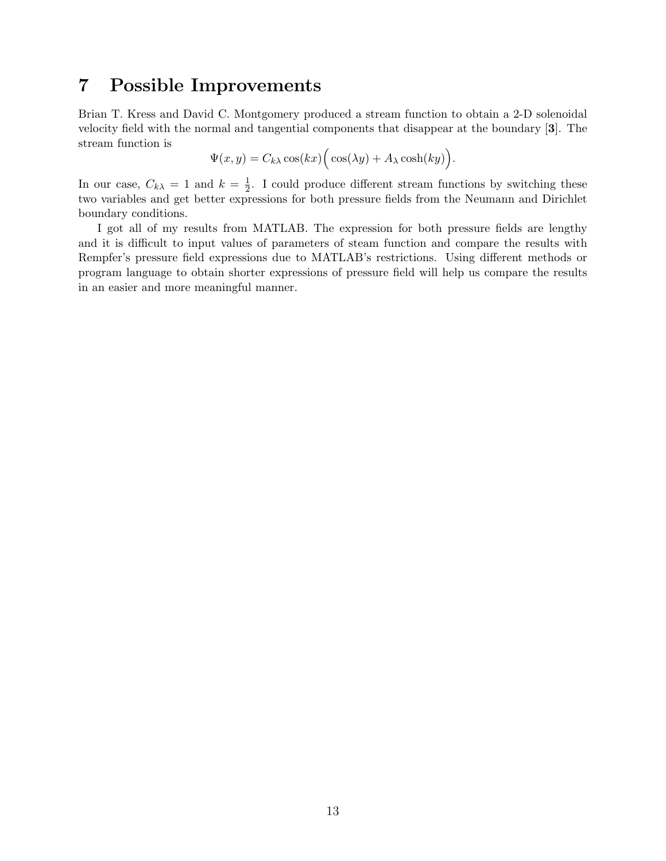### 7 Possible Improvements

Brian T. Kress and David C. Montgomery produced a stream function to obtain a 2-D solenoidal velocity field with the normal and tangential components that disappear at the boundary [3]. The stream function is

$$
\Psi(x, y) = C_{k\lambda} \cos(kx) \Big( \cos(\lambda y) + A_{\lambda} \cosh(ky) \Big).
$$

In our case,  $C_{k\lambda} = 1$  and  $k = \frac{1}{2}$  $\frac{1}{2}$ . I could produce different stream functions by switching these two variables and get better expressions for both pressure fields from the Neumann and Dirichlet boundary conditions.

I got all of my results from MATLAB. The expression for both pressure fields are lengthy and it is difficult to input values of parameters of steam function and compare the results with Rempfer's pressure field expressions due to MATLAB's restrictions. Using different methods or program language to obtain shorter expressions of pressure field will help us compare the results in an easier and more meaningful manner.